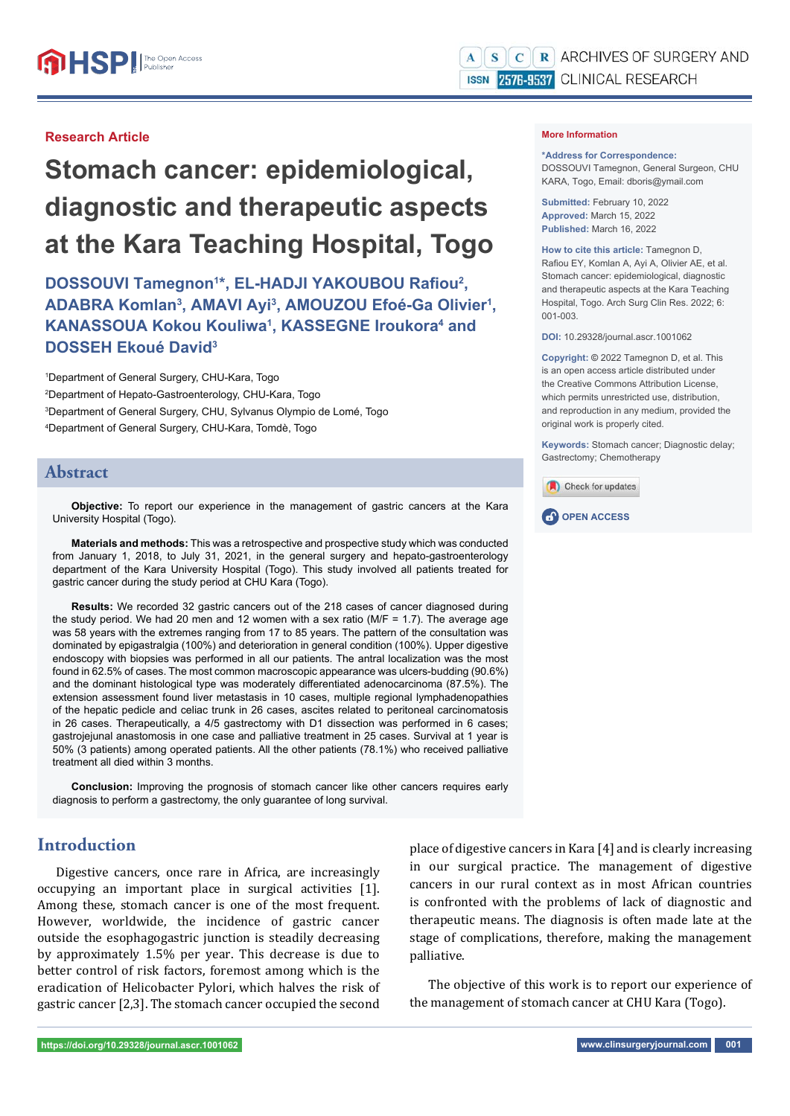#### **Research Article**

# **Stomach cancer: epidemiological, diagnostic and therapeutic aspects at the Kara Teaching Hospital, Togo**

**DOSSOUVI Tamegnon<sup>1\*</sup>, EL-HADJI YAKOUBOU Rafiou<sup>2</sup>,** ADABRA Komlan<sup>3</sup>, AMAVI Ayi<sup>3</sup>, AMOUZOU Efoé-Ga Olivier<sup>1</sup>, **KANASSOUA Kokou Kouliwa<sup>1</sup>, KASSEGNE Iroukora<sup>4</sup> and DOSSEH Ekoué David3**

 Department of General Surgery, CHU-Kara, Togo Department of Hepato-Gastroenterology, CHU-Kara, Togo Department of General Surgery, CHU, Sylvanus Olympio de Lomé, Togo Department of General Surgery, CHU-Kara, Tomdè, Togo

### **Abstract**

**Objective:** To report our experience in the management of gastric cancers at the Kara University Hospital (Togo).

**Materials and methods:** This was a retrospective and prospective study which was conducted from January 1, 2018, to July 31, 2021, in the general surgery and hepato-gastroenterology department of the Kara University Hospital (Togo). This study involved all patients treated for gastric cancer during the study period at CHU Kara (Togo).

**Results:** We recorded 32 gastric cancers out of the 218 cases of cancer diagnosed during the study period. We had 20 men and 12 women with a sex ratio ( $M/F = 1.7$ ). The average age was 58 years with the extremes ranging from 17 to 85 years. The pattern of the consultation was dominated by epigastralgia (100%) and deterioration in general condition (100%). Upper digestive endoscopy with biopsies was performed in all our patients. The antral localization was the most found in 62.5% of cases. The most common macroscopic appearance was ulcers-budding (90.6%) and the dominant histological type was moderately differentiated adenocarcinoma (87.5%). The extension assessment found liver metastasis in 10 cases, multiple regional lymphadenopathies of the hepatic pedicle and celiac trunk in 26 cases, ascites related to peritoneal carcinomatosis in 26 cases. Therapeutically, a 4/5 gastrectomy with D1 dissection was performed in 6 cases; gastrojejunal anastomosis in one case and palliative treatment in 25 cases. Survival at 1 year is 50% (3 patients) among operated patients. All the other patients (78.1%) who received palliative treatment all died within 3 months.

**Conclusion:** Improving the prognosis of stomach cancer like other cancers requires early diagnosis to perform a gastrectomy, the only guarantee of long survival.

# **Introduction**

Digestive cancers, once rare in Africa, are increasingly occupying an important place in surgical activities [1]. Among these, stomach cancer is one of the most frequent. However, worldwide, the incidence of gastric cancer outside the esophagogastric junction is steadily decreasing by approximately 1.5% per year. This decrease is due to better control of risk factors, foremost among which is the eradication of Helicobacter Pylori, which halves the risk of gastric cancer [2,3]. The stomach cancer occupied the second **\*Address for Correspondence:** 

DOSSOUVI Tamegnon, General Surgeon, CHU KARA, Togo, Email: dboris@ymail.com

**Submitted:** February 10, 2022 **Approved:** March 15, 2022 **Published:** March 16, 2022

**How to cite this article:** Tamegnon D, Rafiou EY, Komlan A, Ayi A, Olivier AE, et al. Stomach cancer: epidemiological, diagnostic and therapeutic aspects at the Kara Teaching Hospital, Togo. Arch Surg Clin Res. 2022; 6: 001-003.

**DOI:** 10.29328/journal.ascr.1001062

**Copyright: ©** 2022 Tamegnon D, et al. This is an open access article distributed under the Creative Commons Attribution License, which permits unrestricted use, distribution, and reproduction in any medium, provided the original work is properly cited.

**Keywords:** Stomach cancer; Diagnostic delay; Gastrectomy; Chemotherapy





place of digestive cancers in Kara [4] and is clearly increasing in our surgical practice. The management of digestive cancers in our rural context as in most African countries is confronted with the problems of lack of diagnostic and therapeutic means. The diagnosis is often made late at the stage of complications, therefore, making the management palliative.

The objective of this work is to report our experience of the management of stomach cancer at CHU Kara (Togo).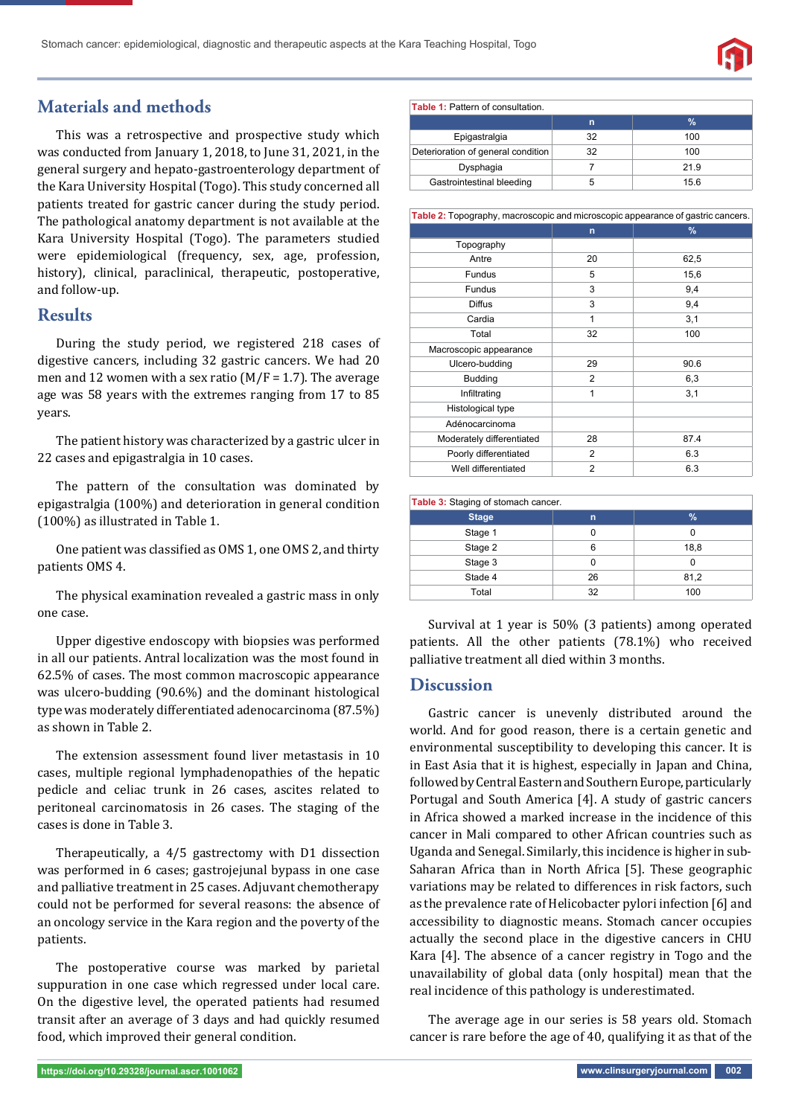

# **Materials and methods**

This was a retrospective and prospective study which was conducted from January 1, 2018, to June 31, 2021, in the general surgery and hepato-gastroenterology department of the Kara University Hospital (Togo). This study concerned all patients treated for gastric cancer during the study period. The pathological anatomy department is not available at the Kara University Hospital (Togo). The parameters studied were epidemiological (frequency, sex, age, profession, history), clinical, paraclinical, therapeutic, postoperative, and follow-up.

## **Results**

During the study period, we registered 218 cases of digestive cancers, including 32 gastric cancers. We had 20 men and 12 women with a sex ratio ( $M/F = 1.7$ ). The average age was 58 years with the extremes ranging from 17 to 85 years.

The patient history was characterized by a gastric ulcer in 22 cases and epigastralgia in 10 cases.

The pattern of the consultation was dominated by epigastralgia (100%) and deterioration in general condition (100%) as illustrated in Table 1.

One patient was classified as OMS 1, one OMS 2, and thirty patients OMS 4.

The physical examination revealed a gastric mass in only one case.

Upper digestive endoscopy with biopsies was performed in all our patients. Antral localization was the most found in 62.5% of cases. The most common macroscopic appearance was ulcero-budding (90.6%) and the dominant histological type was moderately differentiated adenocarcinoma (87.5%) as shown in Table 2.

The extension assessment found liver metastasis in 10 cases, multiple regional lymphadenopathies of the hepatic pedicle and celiac trunk in 26 cases, ascites related to peritoneal carcinomatosis in 26 cases. The staging of the cases is done in Table 3.

Therapeutically, a 4/5 gastrectomy with D1 dissection was performed in 6 cases; gastrojejunal bypass in one case and palliative treatment in 25 cases. Adjuvant chemotherapy could not be performed for several reasons: the absence of an oncology service in the Kara region and the poverty of the patients.

The postoperative course was marked by parietal suppuration in one case which regressed under local care. On the digestive level, the operated patients had resumed transit after an average of 3 days and had quickly resumed food, which improved their general condition.

| $1$ able $1.1$ allem of consultation. |     |      |  |
|---------------------------------------|-----|------|--|
|                                       | n   | $\%$ |  |
| Epigastralgia                         | 32  | 100  |  |
| Deterioration of general condition    | 32  | 100  |  |
| Dysphagia                             |     | 21.9 |  |
| Gastrointestinal bleeding             | 'n. | 15.6 |  |

| Table 2: Topography, macroscopic and microscopic appearance of gastric cancers. |                |      |  |  |
|---------------------------------------------------------------------------------|----------------|------|--|--|
|                                                                                 | $\mathsf{n}$   | $\%$ |  |  |
| Topography                                                                      |                |      |  |  |
| Antre                                                                           | 20             | 62,5 |  |  |
| <b>Fundus</b>                                                                   | 5              | 15,6 |  |  |
| <b>Fundus</b>                                                                   | 3              | 9,4  |  |  |
| <b>Diffus</b>                                                                   | 3              | 9,4  |  |  |
| Cardia                                                                          | 1              | 3,1  |  |  |
| Total                                                                           | 32             | 100  |  |  |
| Macroscopic appearance                                                          |                |      |  |  |
| Ulcero-budding                                                                  | 29             | 90.6 |  |  |
| <b>Budding</b>                                                                  | 2              | 6,3  |  |  |
| Infiltrating                                                                    | 1              | 3,1  |  |  |
| Histological type                                                               |                |      |  |  |
| Adénocarcinoma                                                                  |                |      |  |  |
| Moderately differentiated                                                       | 28             | 87.4 |  |  |
| Poorly differentiated                                                           | 2              | 6.3  |  |  |
| Well differentiated                                                             | $\overline{2}$ | 6.3  |  |  |

| Table 3: Staging of stomach cancer. |    |      |  |  |
|-------------------------------------|----|------|--|--|
| <b>Stage</b>                        | n  | %    |  |  |
| Stage 1                             |    |      |  |  |
| Stage 2                             | 6  | 18,8 |  |  |
| Stage 3                             |    |      |  |  |
| Stade 4                             | 26 | 81,2 |  |  |
| Total                               | 32 | 100  |  |  |

Survival at 1 year is 50% (3 patients) among operated patients. All the other patients (78.1%) who received palliative treatment all died within 3 months.

## **Discussion**

Gastric cancer is unevenly distributed around the world. And for good reason, there is a certain genetic and environmental susceptibility to developing this cancer. It is in East Asia that it is highest, especially in Japan and China, followed by Central Eastern and Southern Europe, particularly Portugal and South America [4]. A study of gastric cancers in Africa showed a marked increase in the incidence of this cancer in Mali compared to other African countries such as Uganda and Senegal. Similarly, this incidence is higher in sub-Saharan Africa than in North Africa [5]. These geographic variations may be related to differences in risk factors, such as the prevalence rate of Helicobacter pylori infection [6] and accessibility to diagnostic means. Stomach cancer occupies actually the second place in the digestive cancers in CHU Kara [4]. The absence of a cancer registry in Togo and the unavailability of global data (only hospital) mean that the real incidence of this pathology is underestimated.

The average age in our series is 58 years old. Stomach cancer is rare before the age of 40, qualifying it as that of the